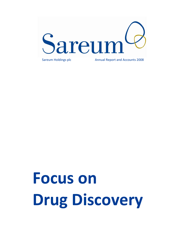

Focus on Drug Discovery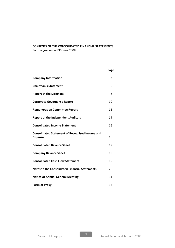# CONTENTS OF THE CONSOLIDATED FINANCIAL STATEMENTS

For the year ended 30 June 2008

|                                                                          | Page |
|--------------------------------------------------------------------------|------|
| <b>Company Information</b>                                               | 3    |
| <b>Chairman's Statement</b>                                              | 5    |
| <b>Report of the Directors</b>                                           | 8    |
| <b>Corporate Governance Report</b>                                       | 10   |
| <b>Remuneration Committee Report</b>                                     | 12   |
| <b>Report of the Independent Auditors</b>                                | 14   |
| <b>Consolidated Income Statement</b>                                     | 16   |
| <b>Consolidated Statement of Recognised Income and</b><br><b>Expense</b> | 16   |
| <b>Consolidated Balance Sheet</b>                                        | 17   |
| <b>Company Balance Sheet</b>                                             | 18   |
| <b>Consolidated Cash Flow Statement</b>                                  | 19   |
| <b>Notes to the Consolidated Financial Statements</b>                    | 20   |
| <b>Notice of Annual General Meeting</b>                                  | 34   |
| <b>Form of Proxy</b>                                                     | 36   |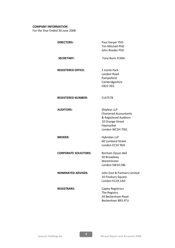# COMPANY INFORMATION

For the Year Ended 30 June 2008

| <b>DIRECTORS:</b>            | Paul Harper PhD<br>Tim Mitchell PhD<br>John Reader PhD                                                                    |
|------------------------------|---------------------------------------------------------------------------------------------------------------------------|
| <b>SECRETARY:</b>            | Tony Bunn FCMA                                                                                                            |
| <b>REGISTERED OFFICE:</b>    | 2 Iconix Park<br>London Road<br>Pampisford<br>Cambridgeshire<br><b>CB22 3EG</b>                                           |
| <b>REGISTERED NUMBER:</b>    | 5147578                                                                                                                   |
| <b>AUDITORS:</b>             | Shipleys LLP<br><b>Chartered Accountants</b><br>& Registered Auditors<br>10 Orange Street<br>Haymarket<br>London WC2H 7DQ |
| <b>BROKER:</b>               | Hybridan LLP<br>60 Lombard Street<br>London EC3V 9EA                                                                      |
| <b>CORPORATE SOLICITORS:</b> | Bircham Dyson Bell<br>50 Broadway<br>Westminster<br>London SW1H OBL                                                       |
| <b>NOMINATED ADVISER:</b>    | John East & Partners Limited<br>10 Finsbury Square<br>London EC2A 1AD                                                     |
| <b>REGISTRARS:</b>           | Capita Registrars<br>The Registry<br>34 Beckenham Road<br>Beckenham BR3 4TU                                               |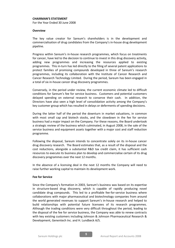#### CHAIRMAN'S STATEMENT

For the Year Ended 30 June 2008

## **Overview**

The key value creator for Sareum's shareholders is in the development and commercialisation of drug candidates from the Company's in-house drug development pipeline.

Progress within Sareum's in-house research programmes, which focus on treatments for cancer, have led to the decision to continue to invest in this drug discovery activity, adding new programmes and increasing the resources applied to existing programmes. This in-turn has led directly to the filing of several patent applications to protect families of promising compounds developed in three of Sareum's research programmes, including its collaboration with the Institute of Cancer Research and Cancer Research Technology Limited. During the period, Sareum has been engaged in a total of six in-house cancer drug discovery programmes.

Conversely, in the period under review, the current economic climate led to difficult conditions for Sareum's fee for service business. Customers and potential customers delayed spending on external research to conserve their cash. In addition, the Directors have also seen a high level of consolidation activity among the Company's key customer group which has resulted in delays or deferments of spending decisions.

During the latter half of the period the downturn in market valuations, in common with most small cap and biotech stocks, and the slowdown in the fee for service business had a major impact on the Company. For these reasons, the Board undertook a strategic review of the business which culminated, in August 2008, in the sale of the service business and equipment assets together with a major cost and staff reduction programme.

Following the disposal, Sareum intends to concentrate solely on its in-house cancer drug discovery research. The Board estimates that, as a result of the disposal and the cost reductions, alongside a substantial R&D tax credit claim, it has sufficient cash resources to execute its business plan to develop and commercialise certain of its drug discovery programmes over the next 12 months.

In the absence of a licensing deal in the next 12 months the Company will need to raise further working capital to maintain its development work.

## Fee for Service

Since the Company's formation in 2003, Sareum's business was based on its expertise in structure-based drug discovery, which is capable of rapidly producing novel candidate drug compounds. This led to a profitable fee-for-service business where collaborations with major pharmaceutical and biotechnology companies from around the world generated revenues to support Sareum's in-house research and helped to build relationships with potential future licensees of its research programmes. Although the trading conditions were very difficult throughout the period, leading to the disposal of the fee for service business, the Company was able to renew contracts with key existing customers including Johnson & Johnson Pharmaceutical Research & Development, Genentech Inc. and H. Lundbeck A/S.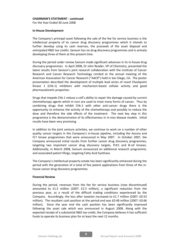## CHAIRMAN'S STATEMENT - continued

For the Year Ended 30 June 2008

#### In-House Development

The Company's principal asset following the sale of the fee for service business is the intellectual property of its cancer drug discovery programmes which it intends to further develop using its cash reserves, the proceeds of the asset disposal and anticipated R&D tax credits. Sareum has six drug discovery programmes and is actively developing three of them at this present time.

During the period under review Sareum made significant advances in its in-house drug discovery programmes. In April 2008, Dr John Reader, VP of Chemistry, presented the latest results from Sareum's joint research collaboration with the Institute of Cancer Research and Cancer Research Technology Limited at the annual meeting of the American Association for Cancer Research ("AACR") held in San Diego, CA. The poster presentation described the development of multiple lead series of novel Checkpoint Kinase 1 (Chk-1) inhibitors with mechanism-based cellular activity and good pharmacokinetic properties.

Drugs that impede Chk-1 reduce a cell's ability to repair the damage caused by current chemotherapy agents which in turn are used to treat many forms of cancer. Thus by combining drugs that inhibit Chk-1 with other anti-cancer drugs there is the opportunity to enhance the activity of the chemotherapy and possibly to reduce the dose and therefore the side effects of the treatment. The next key step in this programme is the demonstration of its effectiveness in in-vivo disease models. Initial results have been very promising.

In addition to the joint venture activities, we continue to work on a number of other quality cancer targets in the Company's in-house pipeline, including the Aurora and FLT kinase programmes that were announced in May 2007. In October 2007, the Company announced initial results from further cancer drug discovery programmes, targeting two important cancer drug discovery targets, PLK1 and B-raf kinases. Additionally, in March 2008, Sareum announced an additional research programme, and associated patent filings, targeting Fatty Acid Synthase.

The Company's intellectual property estate has been significantly enhanced during the period with the generation of a total of five patent applications from three of the inhouse cancer drug discovery programmes.

## Financial Review

During the period, revenues from the fee for service business (now discontinued) amounted to £1.5 million (2007: £2.5 million), a significant reduction from the previous year, as a result of the difficult trading conditions experienced by the Company. Accordingly, the loss after taxation increased to £1.7 million (2007: £0.53 million). The resultant cash position at the period end was £0.48 million (2007: £0.66 million). Since the year end the cash position has been significantly improved following the asset sale which was announced in August 2008. Along with the expected receipt of a substantial R&D tax credit, the Company believes it has sufficient funds to operate its business plan for at least the next 12 months.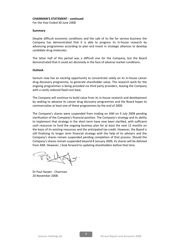## CHAIRMAN'S STATEMENT - continued

For the Year Ended 30 June 2008

## Summary

Despite difficult economic conditions and the sale of its fee for service business the Company has demonstrated that it is able to progress its in-house research by advancing programmes according to plan and invest in strategic alliances to develop candidate drug molecules.

The latter half of this period was a difficult one for the Company, but the Board demonstrated that it could act decisively in the face of adverse market conditions.

# **Outlook**

Sareum now has an exciting opportunity to concentrate solely on its in-house cancer drug discovery programme, to generate shareholder value. The research work for the ongoing programmes is being provided via third party providers, leaving the Company with a vastly reduced fixed cost base.

The Company will continue to build value from its in-house research and development by seeking to advance its cancer drug discovery programmes and the Board hopes to commercialise at least one of these programmes by the end of 2009.

The Company's shares were suspended from trading on AIM on 9 July 2008 pending clarification of the Company's financial position. The Company's strategy and its ability to implement that strategy in the short term have now been clarified, with sufficient cash resources to fund the ongoing business plan for at least the next 12 months on the basis of its existing resources and the anticipated tax credit. However, the Board is still finalising its longer term financial strategy with the help of its advisers and the Company's shares remain suspended pending completion of that process. Should the Company's shares remain suspended beyond 8 January 2009, its shares will be delisted from AIM. However, I look forward to updating shareholders before that time.

Dr Paul Harper - Chairman 20 November 2008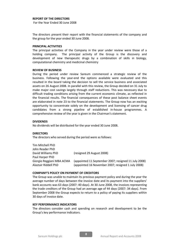## REPORT OF THE DIRECTORS

For the Year Ended 30 June 2008

The directors present their report with the financial statements of the company and the group for the year ended 30 June 2008.

#### PRINCIPAL ACTIVITIES

The principal activities of the Company in the year under review were those of a holding company. The principal activity of the Group is the discovery and development of new therapeutic drugs by a combination of skills in biology, computational chemistry and medicinal chemistry

#### REVIEW OF BUSINESS

During the period under review Sareum commenced a strategic review of the business. Following the year-end the options available were evaluated and this resulted in the board taking the decision to sell the service business and associated assets on 26 August 2008. In parallel with this review, the Group decided on 31 July to make major cost savings largely through staff reductions. This was necessary due to difficult trading conditions arising from the current economic climate, as reflected in the financial results. The financial consequences of these post balance sheet events are elaborated in note 23 to the financial statements. The Group now has an exciting opportunity to concentrate solely on the development and licensing of cancer drug candidates from a strong pipeline of established in-house programmes. A comprehensive review of the year is given in the Chairman's statement.

## DIVIDENDS

No dividends will be distributed for the year ended 30 June 2008.

## **DIRECTORS**

The directors who served during the period were as follows:

| Tim Mitchell PhD          |                                                      |
|---------------------------|------------------------------------------------------|
| John Reader PhD           |                                                      |
| David Williams PhD        | (resigned 29 August 2008)                            |
| Paul Harper PhD           |                                                      |
| Giorgio Reggiani MBA ACMA | (appointed 11 September 2007; resigned 11 July 2008) |
| Alastair Riddell PhD      | (appointed 16 November 2007; resigned 1 July 2008)   |

#### COMPANY'S POLICY ON PAYMENT OF CREDITORS

The Group was unable to maintain its previous payment policy and during the year the average number of days between the invoice date and its payment into the suppliers' bank accounts was 63 days (2007: 40 days). At 30 June 2008, the invoices representing the trade creditors of the Group had an average age of 44 days (2007: 34 days). From September 2008 the Group expects to return to a policy of paying its suppliers within 30 days of invoice date.

## KEY PERFORMANCE INDICATORS

The directors consider cash and spending on research and development to be the Group's key performance indicators.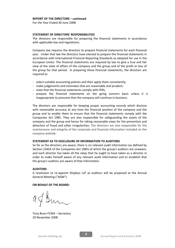## REPORT OF THE DIRECTORS – continued

For the Year Ended 30 June 2008

## STATEMENT OF DIRECTORS' RESPONSIBILITIES

The directors are responsible for preparing the financial statements in accordance with applicable law and regulations.

Company law requires the directors to prepare financial statements for each financial year. Under that law the directors have elected to prepare the financial statements in accordance with International Financial Reporting Standards as adopted for use in the European Union. The financial statements are required by law to give a true and fair view of the state of affairs of the company and the group and of the profit or loss of the group for that period. In preparing these financial statements, the directors are required to

- select suitable accounting policies and then apply them consistently;
- make judgements and estimates that are reasonable and prudent;
- state that the financial statements comply with IFRS;
- prepare the financial statements on the going concern basis unless it is inappropriate to presume that the company will continue in business.

The directors are responsible for keeping proper accounting records which disclose with reasonable accuracy at any time the financial position of the company and the group and to enable them to ensure that the financial statements comply with the Companies Act 1985. They are also responsible for safeguarding the assets of the company and the group and hence for taking reasonable steps for the prevention and detection of fraud and other irregularities. The directors are also responsible for the maintenance and integrity of the corporate and financial information included on the company website.

## STATEMENT AS TO DISCLOSURE OF INFORMATION TO AUDITORS

So far as the directors are aware, there is no relevant audit information (as defined by Section 234ZA of the Companies Act 1985) of which the group's auditors are unaware, and each director has taken all the steps that he ought to have taken as a director in order to make himself aware of any relevant audit information and to establish that the group's auditors are aware of that information.

## AUDITORS

A resolution to re-appoint Shipleys LLP as auditors will be proposed at the Annual General Meeting ("AGM").

## ON BEHALF OF THE BOARD:

 $2\pi$ 

Tony Bunn FCMA – Secretary 20 November 2008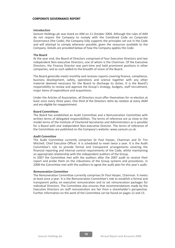#### CORPORATE GOVERNANCE REPORT

#### Introduction

Sareum Holdings plc was listed on AIM on 11 October 2004. Although the rules of AIM do not require the Company to comply with the Combined Code on Corporate Governance (the Code), the Company fully supports the principles set out in the Code and will attempt to comply wherever possible, given the resources available to the Company. Details are provided below of how the Company applies the Code.

#### The Board

At the year end, the Board of Directors comprised of four Executive Directors and two independent Non-executive Directors, one of whom is the Chairman. Of the Executive Directors, the Finance Director was part-time and held prominent positions in other companies, and as such added to the breadth of vision of the Board.

The Board generally meets monthly and receives reports covering finance, compliance, business development, safety, operations and science together with any other material deemed necessary for the Board to discharge its duties. It is the Board's responsibility to review and approve the Group's strategy, budgets, staff recruitment, major items of expenditure and acquisitions.

Under the Articles of Association, all Directors must offer themselves for re-election at least once every three years. One third of the Directors retire by rotation at every AGM and are eligible for reappointment.

#### Board Committees

The Board has established an Audit Committee and a Remuneration Committee with written terms of delegated responsibilities. The terms of reference are as close to the model terms of the Institute of Chartered Secretaries and Administrators as is possible for a Board with one independent Non-executive Director. The terms of reference of the Committees are published on the Company's website: www.sareum.co.uk.

#### Audit Committee

The Audit Committee currently comprises Dr Paul Harper, Chairman and Dr Tim Mitchell, Chief Executive Officer. It is scheduled to meet twice a year. It is the Audit Committee's role to provide formal and transparent arrangements covering the financial reporting and internal control requirements of the Code, whilst maintaining an appropriate relationship with the independent auditors of the Group.

In 2007 the Committee met with the auditors after the 2007 audit to receive their report and probe them on the robustness of the Group systems and procedures. In 2008 the Committee met with the auditors to agree the audit plan for this year's audit.

#### Remuneration Committee

The Remuneration Committee currently comprises Dr Paul Harper, Chairman. It meets at least once a year. It is the Remuneration Committee's role to establish a formal and transparent policy on executive remuneration and to set remuneration packages for individual Directors. The Committee also ensures that recommendations made by the Executive Directors on staff remuneration are fair from a shareholder's perspective. Further information on the work of the Committee can be found on pages 12 and 13.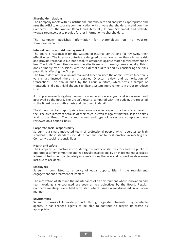#### Shareholder relations

The Company meets with its institutional shareholders and analysts as appropriate and uses the AGM to encourage communication with private shareholders. In addition, the Company uses the Annual Report and Accounts, Interim Statement and website (www.sareum.co.uk) to provide further information to shareholders.

The Company publishes information for shareholders on its website: www.sareum.co.uk.

## Internal control and risk management

The Board is responsible for the systems of internal control and for reviewing their effectiveness. The internal controls are designed to manage rather than eliminate risk and provide reasonable but not absolute assurance against material misstatement or loss. The Audit Committee reviews the effectiveness of these systems annually. This it does primarily by discussions with the external auditors and by considering the risks potentially affecting the Group.

The Group does not have an internal audit function since the administrative function is very small. Instead there is a detailed Director review and authorisation of transactions. The annual audit by the Group auditors, which tests a sample of transactions, did not highlight any significant system improvements in order to reduce risks.

A comprehensive budgeting process is completed once a year and is reviewed and approved by the Board. The Group's results, compared with the budget, are reported to the Board on a monthly basis and discussed in detail.

The Group maintains appropriate insurance cover in respect of actions taken against the Executive Directors because of their roles, as well as against material loss or claims against the Group. The insured values and type of cover are comprehensively reviewed on a periodic basis.

## Corporate social responsibility

Sareum is a small, motivated team of professional people which operates to high standards. These standards include a commitment to best practice in meeting the Company's social responsibilities.

#### Health and safety

The Company is proactive in considering the safety of staff, visitors and the public. It operated a safety committee and had regular inspections by an independent specialist adviser. It had no notifiable safety incidents during the year and no working days were lost due to accidents.

## Employees

Sareum is committed to a policy of equal opportunities in the recruitment, engagement and treatment of its staff.

The motivation of staff and the maintenance of an environment where innovation and team working is encouraged are seen as key objectives by the Board. Regular Company meetings were held with staff where issues were discussed in an open manner.

#### Environment

Sareum disposes of its waste products through regulated channels using reputable agents. It has changed agents to be able to continue to recycle its waste as appropriate.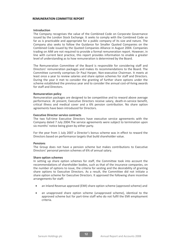## REMUNERATION COMMITTEE REPORT

#### Introduction

The Company recognises the value of the Combined Code on Corporate Governance issued by the London Stock Exchange. It seeks to comply with the Combined Code so far as is practicable and appropriate for a public company of its size and nature. The Company also seeks to follow the Guidance for Smaller Quoted Companies on the Combined Code issued by the Quoted Companies Alliance in August 2004. Companies trading on AIM are not required to provide a formal remuneration report. However, in line with current best practice, this report provides information to enable a greater level of understanding as to how remuneration is determined by the Board.

The Remuneration Committee of the Board is responsible for considering staff and Directors' remuneration packages and makes its recommendations to the Board. The Committee currently comprises Dr Paul Harper, Non-executive Chairman. It meets at least once a year to review salaries and share option schemes for staff and Directors. During the year it met to consider the granting of further share options under the scheme established the previous year and to consider the annual cost-of-living awards for staff and Directors.

#### Remuneration policy

Remuneration packages are designed to be competitive and to reward above average performance. At present, Executive Directors receive salary, death-in-service benefit, critical illness and medical cover and a 6% pension contribution. No share option agreements have been introduced for Directors.

## Executive Director service contracts

The two full-time Executive Directors have executive service agreements with the Company dated 7 July 2004.The service agreements were subject to termination upon six months' notice being given by either party.

For the year from 1 July 2007 a Director's bonus scheme was in effect to reward the Directors based on performance targets that build shareholder value.

## Pensions

The Group does not have a pension scheme but makes contributions to Executive Directors' personal pension schemes of 6% of annual salary.

## Share option schemes

In setting up share option schemes for staff, the Committee took into account the recommendations of shareholder bodies, such as that of the insurance companies, on the number of options to issue, the criteria for vesting and the desirability of granting share options to Executive Directors. As a result, the Committee did not initiate a share option scheme for Executive Directors. It approved the following share incentive arrangements for staff:

- an Inland Revenue approved (EMI) share option scheme (approved scheme) and
- an unapproved share option scheme (unapproved scheme), identical to the approved scheme but for part-time staff who do not fulfil the EMI employment criteria.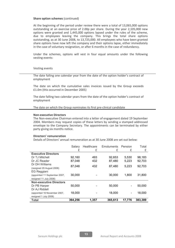#### Share option schemes (continued)

At the beginning of the period under review there were a total of 13,065,000 options outstanding at an exercise price of 2.00p per share. During the year 2,105,000 new options were granted and 1,445,000 options lapsed under the rules of the scheme, due to employees leaving the company. This brings the total share options outstanding, as at 30 June 2008, to 13,725,000. All employees who have been granted share options have now left the company and their options lapse, either immediately in the case of voluntary resignation, or after 6 months in the case of redundancy.

Under the schemes, options will vest in four equal amounts under the following vesting events:

#### Vesting events

The date falling one calendar year from the date of the option holder's contract of employment

The date on which the cumulative sales invoices issued by the Group exceeds £1.0m (this occurred in December 2005)

The date falling two calendar years from the date of the option holder's contract of employment

The date on which the Group nominates its first pre-clinical candidate

#### Non-executive Directors

The Non-executive Chairman entered into a letter of engagement dated 19 September 2004. Members may request copies of these letters by sending a stamped addressed envelope to the Company Secretary. The appointments can be terminated by either party giving six months notice.

#### Directors' remuneration

Details of Directors' annual remuneration as at 30 June 2008 are set out below:

|                                | Salarv  | Healthcare | Emoluments | Pension | Total   |
|--------------------------------|---------|------------|------------|---------|---------|
|                                | £       | £          | £          | £       | £       |
| <b>Executive Directors</b>     |         |            |            |         |         |
| Dr TJ Mitchell                 | 92,160  | 493        | 92,653     | 5,530   | 98,183  |
| Dr JC Reader                   | 87,048  | 432        | 87,480     | 5,223   | 92,703  |
| Dr DH Williams                 | 87,048  | 432        | 87,480     | 5,223   | 92,703  |
| (resigned 29 August 2008)      |         |            |            |         |         |
| EG Reggiani                    |         |            |            |         |         |
| (appointed 11 September 2007,  | 30,000  |            | 30,000     | 1.800   | 31,800  |
| resigned 11 July 2008)         |         |            |            |         |         |
| <b>Non-executive Directors</b> |         |            |            |         |         |
| Dr PB Harper                   | 50,000  |            | 50,000     |         | 50,000  |
| Dr AJ Riddell                  |         |            |            |         |         |
| (appointed 16 November 2007,   | 18,000  |            | 18,000     |         | 18,000  |
| resigned 1 July 2008)          |         |            |            |         |         |
| <b>Total</b>                   | 364,256 | 1,357      | 365,613    | 17.776  | 383,389 |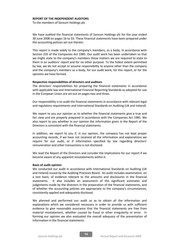#### REPORT OF THE INDEPENDENT AUDITORS

To the members of Sareum Holdings plc

We have audited the financial statements of Sareum Holdings plc for the year ended 30 June 2008 on pages 16 to 33. These financial statements have been prepared under the accounting policies set out therein.

This report is made solely to the company's members, as a body, in accordance with Section 235 of the Companies Act 1985. Our audit work has been undertaken so that we might state to the company's members those matters we are required to state to them in an auditors' report and for no other purpose. To the fullest extent permitted by law, we do not accept or assume responsibility to anyone other than the company and the company's members as a body, for our audit work, for this report, or for the opinions we have formed.

#### Respective responsibilities of directors and auditors

The directors' responsibilities for preparing the financial statements in accordance with applicable law and International Financial Reporting Standards as adopted for use in the European Union are set out on pages two and three.

Our responsibility is to audit the financial statements in accordance with relevant legal and regulatory requirements and International Standards on Auditing (UK and Ireland).

We report to you our opinion as to whether the financial statements give a true and fair view and are properly prepared in accordance with the Companies Act 1985. We also report to you whether in our opinion the information given in the Report of the Directors is consistent with the financial statements.

In addition, we report to you if, in our opinion, the company has not kept proper accounting records, if we have not received all the information and explanations we require for our audit, or if information specified by law regarding directors' remuneration and other transactions is not disclosed.

We read the Report of the Directors and consider the implications for our report if we become aware of any apparent misstatements within it.

## Basis of audit opinion

We conducted our audit in accordance with International Standards on Auditing (UK and Ireland) issued by the Auditing Practices Board. An audit includes examination, on a test basis, of evidence relevant to the amounts and disclosures in the financial statements. It also includes an assessment of the significant estimates and judgements made by the directors in the preparation of the financial statements, and of whether the accounting policies are appropriate to the company's circumstances, consistently applied and adequately disclosed.

We planned and performed our audit so as to obtain all the information and explanations which we considered necessary in order to provide us with sufficient evidence to give reasonable assurance that the financial statements are free from material misstatement, whether caused by fraud or other irregularity or error. In forming our opinion we also evaluated the overall adequacy of the presentation of information in the financial statements.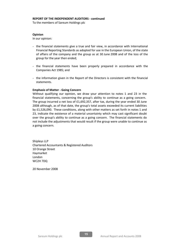To the members of Sareum Holdings plc

## Opinion

In our opinion:

- the financial statements give a true and fair view, in accordance with International Financial Reporting Standards as adopted for use in the European Union, of the state of affairs of the company and the group as at 30 June 2008 and of the loss of the group for the year then ended;
- the financial statements have been properly prepared in accordance with the Companies Act 1985; and
- the information given in the Report of the Directors is consistent with the financial statements.

# Emphasis of Matter - Going Concern

Without qualifying our opinion, we draw your attention to notes 1 and 23 in the financial statements, concerning the group's ability to continue as a going concern. The group incurred a net loss of £1,692,357, after tax, during the year ended 30 June 2008 although, as of that date, the group's total assets exceeded its current liabilities by £1,526,090. These conditions, along with other matters as set forth in notes 1 and 23, indicate the existence of a material uncertainty which may cast significant doubt over the group's ability to continue as a going concern. The financial statements do not include the adjustments that would result if the group were unable to continue as a going concern.

Shipleys LLP Chartered Accountants & Registered Auditors 10 Orange Street Haymarket London WC2H 7DQ

20 November 2008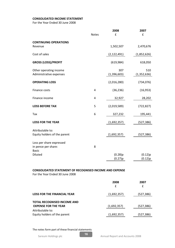# CONSOLIDATED INCOME STATEMENT

For the Year Ended 30 June 2008

|                                                                 |              | 2008               | 2007                 |
|-----------------------------------------------------------------|--------------|--------------------|----------------------|
|                                                                 | <b>Notes</b> | £                  | £                    |
| <b>CONTINUING OPERATIONS</b><br>Revenue                         |              | 1,502,507          | 2,470,676            |
| Cost of sales                                                   |              | (2,122,491)        | (1,852,626)          |
| <b>GROSS (LOSS)/PROFIT</b>                                      |              | (619, 984)         | 618,050              |
| Other operating income<br>Administrative expenses               |              | 307<br>(1,396,603) | 510<br>(1, 352, 636) |
| <b>OPERATING LOSS</b>                                           |              | (2,016,280)        | (734, 076)           |
| Finance costs                                                   | 4            | (36, 236)          | (16, 953)            |
| Finance income                                                  | 4            | 32,927             | 28,202               |
| <b>LOSS BEFORE TAX</b>                                          | 5            | (2,019,589)        | (722, 827)           |
| Tax                                                             | 6            | 327,232            | 195,441              |
| <b>LOSS FOR THE YEAR</b>                                        |              | (1,692,357)        | (527,386)            |
| Attributable to:<br>Equity holders of the parent                |              | (1,692,357)        | (527, 386)           |
| Loss per share expressed<br>in pence per share:<br><b>Basic</b> | 8            |                    |                      |
| Diluted                                                         |              | (0.28)p<br>(0.27)p | (0.12)p<br>(0.12)p   |

# CONSOLIDATED STATEMENT OF RECOGNISED INCOME AND EXPENSE

For the Year Ended 30 June 2008

|                                                            | 2008<br>f   | 2007<br>£  |
|------------------------------------------------------------|-------------|------------|
| <b>LOSS FOR THE FINANCIAL YEAR</b>                         | (1,692,357) | (527, 386) |
| TOTAL RECOGNISED INCOME AND<br><b>EXPENSE FOR THE YEAR</b> | (1,692,357) | (527, 386) |
| Attributable to:<br>Equity holders of the parent           | (1,692,357) | (527,386)  |

## The notes form part of these financial statements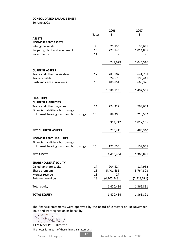# CONSOLIDATED BALANCE SHEET

30 June 2008

|                                                      |              | 2008          | 2007        |
|------------------------------------------------------|--------------|---------------|-------------|
|                                                      | <b>Notes</b> | f             | £           |
| <b>ASSETS</b>                                        |              |               |             |
| <b>NON-CURRENT ASSETS</b>                            |              |               |             |
| Intangible assets                                    | 9            | 25,836        | 30,681      |
| Property, plant and equipment                        | 10           | 723,843       | 1,014,835   |
| Investments                                          | 11           |               |             |
|                                                      |              | 749,679       | 1,045,516   |
|                                                      |              |               |             |
| <b>CURRENT ASSETS</b><br>Trade and other receivables | 12           | 283,702       | 641,738     |
| Tax receivable                                       |              | 324,570       | 195,441     |
| Cash and cash equivalents                            | 13           | 480,851       | 660,326     |
|                                                      |              |               |             |
|                                                      |              | 1,089,123     | 1,497,505   |
| <b>LIABILITIES</b>                                   |              |               |             |
| <b>CURRENT LIABILITIES</b>                           |              |               |             |
| Trade and other payables                             | 14           | 224,322       | 798,603     |
| Financial liabilities - borrowings                   |              |               |             |
| Interest bearing loans and borrowings                | 15           | 88,390        | 218,562     |
|                                                      |              |               |             |
|                                                      |              | 312,712       | 1,017,165   |
|                                                      |              |               |             |
| <b>NET CURRENT ASSETS</b>                            |              | 776,411       | 480,340     |
| <b>NON-CURRENT LIABILITIES</b>                       |              |               |             |
| Financial liabilities - borrowings                   |              |               |             |
| Interest bearing loans and borrowings                | 15           | 125,656       | 159,965     |
|                                                      |              |               |             |
| <b>NET ASSETS</b>                                    |              | 1,400,434     | 1,365,891   |
| <b>SHAREHOLDERS' EQUITY</b>                          |              |               |             |
| Called up share capital                              | 17           | 204,524       | 114,952     |
| Share premium                                        | 18           | 5,401,631     | 3,764,303   |
| Merger reserve                                       | 18           | 27            | 2           |
| <b>Retained earnings</b>                             | 18           | (4, 205, 748) | (2,513,391) |
| Total equity                                         |              | 1,400,434     | 1,365,891   |
|                                                      |              |               |             |
| <b>TOTAL EQUITY</b>                                  |              | 1,400,434     | 1,365,891   |

The financial statements were approved by the Board of Directors on 20 November 2008 and were signed on its behalf by:

Muchey

The notes form part of these financial statements T J Mitchell PhD - Director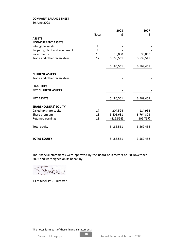# COMPANY BALANCE SHEET

30 June 2008

|                               |              | 2008      | 2007      |
|-------------------------------|--------------|-----------|-----------|
|                               | <b>Notes</b> | £         | £         |
| <b>ASSETS</b>                 |              |           |           |
| <b>NON-CURRENT ASSETS</b>     |              |           |           |
| Intangible assets             | 8            |           |           |
| Property, plant and equipment | 9            |           |           |
| Investments                   | 10           | 30,000    | 30,000    |
| Trade and other receivables   | 12           | 5,156,561 | 3,539,548 |
|                               |              | 5,186,561 | 3,569,458 |
| <b>CURRENT ASSETS</b>         |              |           |           |
| Trade and other receivables   |              |           |           |
| <b>LIABILITIES</b>            |              |           |           |
| <b>NET CURRENT ASSETS</b>     |              |           |           |
| <b>NET ASSETS</b>             |              | 5,186,561 | 3,569,458 |
| <b>SHAREHOLDERS' EQUITY</b>   |              |           |           |
| Called up share capital       | 17           | 204,524   | 114,952   |
| Share premium                 | 18           | 5,401,631 | 3,764,303 |
| Retained earnings             | 18           | (419,594) | (309,797) |
| Total equity                  |              | 5,186,561 | 3,569,458 |
| <b>TOTAL EQUITY</b>           |              | 5,186,561 | 3,569,458 |

The financial statements were approved by the Board of Directors on 20 November 2008 and were signed on its behalf by:

markerey

T J Mitchell PhD - Director

The notes form part of these financial statements

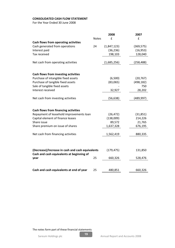# CONSOLIDATED CASH FLOW STATEMENT

For the Year Ended 30 June 2008

|                                                  |              | 2008        | 2007       |
|--------------------------------------------------|--------------|-------------|------------|
|                                                  | <b>Notes</b> | £           | £          |
| Cash flows from operating activities             |              |             |            |
| Cash generated from operations                   | 24           | (1,847,123) | (369, 575) |
| Interest paid                                    |              | (36, 236)   | (16, 953)  |
| Tax received                                     |              | 198,103     | 128,040    |
|                                                  |              |             |            |
| Net cash from operating activities               |              | (1,685,256) | (258, 488) |
|                                                  |              |             |            |
| Cash flows from investing activities             |              |             |            |
| Purchase of intangible fixed assets              |              | (6,500)     | (20, 767)  |
| Purchase of tangible fixed assets                |              | (83,065)    | (498, 182) |
| Sale of tangible fixed assets                    |              |             | 750        |
| Interest received                                |              | 32,927      | 28,202     |
|                                                  |              |             |            |
| Net cash from investing activities               |              | (56, 638)   | (489, 997) |
|                                                  |              |             |            |
| <b>Cash flows from financing activities</b>      |              |             |            |
| Repayment of leasehold improvements loan         |              | (26, 472)   | (31, 851)  |
| Capital element of finance leases                |              | (138,009)   | 214,226    |
| Share issue                                      |              | 89,572      | 21,765     |
| Share premium on issue of shares                 |              | 1,637,328   | 676,195    |
|                                                  |              |             |            |
| Net cash from financing activities               |              | 1,562,419   | 880,335    |
|                                                  |              |             |            |
|                                                  |              |             |            |
| (Decrease)/Increase in cash and cash equivalents |              | (179, 475)  | 131,850    |
| Cash and cash equivalents at beginning of        |              |             |            |
| year                                             | 25           | 660,326     | 528,476    |
|                                                  |              |             |            |
| Cash and cash equivalents at end of year         | 25           | 480,851     | 660,326    |
|                                                  |              |             |            |

The notes form part of these financial statements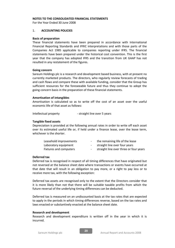## NOTES TO THE CONSOLIDATED FINANCIAL STATEMENTS

For the Year Ended 30 June 2008

## 1. ACCOUNTING POLICIES

## Basis of preparation

These financial statements have been prepared in accordance with International Financial Reporting Standards and IFRIC interpretations and with those parts of the Companies Act 1985 applicable to companies reporting under IFRS. The financial statements have been prepared under the historical cost convention. This is the first year that the company has adopted IFRS and the transition from UK GAAP has not resulted in any restatement of the figures.

## Going concern

Sareum Holdings plc is a research and development based business, with at present no currently marketed products. The directors, who regularly review forecasts of trading and cash flows and compare these with available funding, consider that the Group has sufficient resources for the foreseeable future and thus they continue to adopt the going concern basis in the preparation of these financial statements.

## Amortisation of intangibles

Amortisation is calculated so as to write off the cost of an asset over the useful economic life of that asset as follows:

Intellectual property - straight line over 5 years

## Tangible fixed assets

Depreciation is provided at the following annual rates in order to write off each asset over its estimated useful life or, if held under a finance lease, over the lease term, whichever is the shorter.

| Leasehold improvements | the remaining life of the lease        |
|------------------------|----------------------------------------|
| Laboratory equipment   | straight line over four years          |
| Fixtures and computers | straight line over three or four years |

## Deferred tax

Deferred tax is recognised in respect of all timing differences that have originated but not reversed at the balance sheet date where transactions or events have occurred at that date that will result in an obligation to pay more, or a right to pay less or to receive more tax, with the following exception:

Deferred tax assets are recognised only to the extent that the Directors consider that it is more likely than not that there will be suitable taxable profits from which the future reversal of the underlying timing differences can be deducted.

Deferred tax is measured on an undiscounted basis at the tax rates that are expected to apply in the periods in which timing differences reverse, based on the tax rates and laws enacted or substantively enacted at the balance sheet date.

## Research and development

Research and development expenditure is written off in the year in which it is incurred.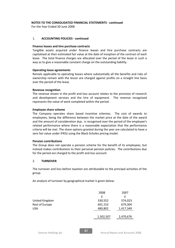For the Year Ended 30 June 2008

# 1. ACCOUNTING POLICIES - continued

## Finance leases and hire purchase contracts

Tangible assets acquired under finance leases and hire purchase contracts are capitalised at their estimated fair value at the date of inception of the contract of each lease. The total finance charges are allocated over the period of the lease in such a way as to give a reasonable constant charge on the outstanding liability.

## Operating lease agreements

Rentals applicable to operating leases where substantially all the benefits and risks of ownership remain with the lessor are charged against profits on a straight line basis over the period of the lease.

## Revenue recognition

The revenue shown in the profit and loss account relates to the provision of research and development services and the hire of equipment. The revenue recognised represents the value of work completed within the period.

## Employee share scheme

The Company operates share based incentive schemes. The cost of awards to employees, being the difference between the market price at the date of the award and the amount of consideration due, is recognised over the period of the employee's related performance where there is a reasonable expectation that the performance criteria will be met. The share options granted during the year are calculated to have a zero fair value under IFRS2 using the Black-Scholes pricing model.

# Pension contributions

The Group does not operate a pension scheme for the benefit of its employees, but instead makes contributions to their personal pension policies. The contributions due for the period are charged to the profit and loss account.

# 2. TURNOVER

The turnover and loss before taxation are attributable to the principal activities of the group.

An analysis of turnover by geographical market is given below:

|                       | 2008      | 2007      |
|-----------------------|-----------|-----------|
|                       | f         | f         |
| United Kingdom        | 330,552   | 374,023   |
| <b>Rest of Europe</b> | 691,153   | 679,304   |
| USA                   | 480,802   | 1,417,349 |
|                       |           |           |
|                       | 1,502,507 | 2,470,676 |
|                       |           |           |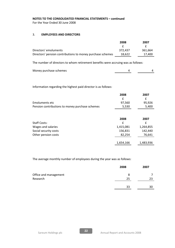For the Year Ended 30 June 2008

# 3. EMPLOYEES AND DIRECTORS

|                                                                                   | 2008    | 2007    |  |
|-----------------------------------------------------------------------------------|---------|---------|--|
|                                                                                   |         |         |  |
| Directors' emoluments                                                             | 372.437 | 361,664 |  |
| Directors' pension contributions to money purchase schemes                        | 18,622  | 17,400  |  |
| The number of directors to whom retirement benefits were accruing was as follows: |         |         |  |

| Money purchase schemes |  |
|------------------------|--|
|                        |  |

Information regarding the highest paid director is as follows:

|                                                 | 2008   | 2007   |
|-------------------------------------------------|--------|--------|
|                                                 |        |        |
| Emoluments etc                                  | 97.560 | 95.926 |
| Pension contributions to money purchase schemes | 5,530  | 5.400  |

|                       | 2008      | 2007      |
|-----------------------|-----------|-----------|
| <b>Staff Costs:</b>   | £         | £         |
| Wages and salaries    | 1,415,081 | 1,264,855 |
| Social security costs | 156,831   | 142,440   |
| Other pension costs   | 82,254    | 76,641    |
|                       | 1,654,166 | 1,483,936 |

The average monthly number of employees during the year was as follows:

|                       | 2008 | 2007 |
|-----------------------|------|------|
| Office and management | 8    |      |
| Research              | 25   | 23   |
|                       | 33   | 30   |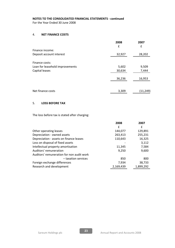For the Year Ended 30 June 2008

# 4. NET FINANCE COSTS

|                                 | 2008<br>£ | 2007<br>£ |
|---------------------------------|-----------|-----------|
| Finance income:                 |           |           |
| Deposit account interest        | 32,927    | 28,202    |
| Finance costs:                  |           |           |
| Loan for leasehold improvements | 5,602     | 9,509     |
| Capital leases                  | 30,634    | 7,444     |
|                                 | 36,236    | 16,953    |
| Net finance costs               | 3,309     | (11, 249) |

# 5. LOSS BEFORE TAX

The loss before tax is stated after charging:

|                                           | 2008      | 2007      |
|-------------------------------------------|-----------|-----------|
|                                           | f         | £         |
| Other operating leases                    | 144,077   | 129,891   |
| Depreciation - owned assets               | 263,413   | 255,231   |
| Depreciation - assets on finance leases   | 110,643   | 16,325    |
| Loss on disposal of fixed assets          |           | 3,112     |
| Intellectual property amortisation        | 11,345    | 7,584     |
| Auditors' remuneration                    | 9,250     | 9,600     |
| Auditors' remuneration for non audit work |           |           |
| - taxation services                       | 850       | 800       |
| Foreign exchange differences              | 7,934     | 38,733    |
| Research and development                  | 2,169,439 | 1,899,292 |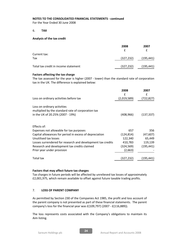For the Year Ended 30 June 2008

# 6. TAX

## Analysis of the tax credit

|                                      | 2008       | 2007       |
|--------------------------------------|------------|------------|
|                                      |            | f          |
| Current tax:                         |            |            |
| Tax                                  | (327, 232) | (195, 441) |
|                                      |            |            |
| Total tax credit in income statement | (327, 232) | (195, 441) |

## Factors affecting the tax charge

The tax assessed for the year is higher (2007 - lower) than the standard rate of corporation tax in the UK. The difference is explained below:

|                                                                                                                       | 2008<br>f   | 2007<br>f  |
|-----------------------------------------------------------------------------------------------------------------------|-------------|------------|
| Loss on ordinary activities before tax                                                                                | (2,019,589) | (722, 827) |
| Loss on ordinary activities<br>multiplied by the standard rate of corporation tax<br>in the UK of 20.25% (2007 - 19%) | (408, 966)  | (137, 337) |
| Effects of:                                                                                                           |             |            |
| Expenses not allowable for tax purposes                                                                               | 657         | 356        |
| Capital allowances for period in excess of depreciation                                                               | (124, 814)  | (47,607)   |
| Unutilised tax losses                                                                                                 | 122,340     | 65,449     |
| Losses surrendered for research and development tax credits                                                           | 410,783     | 119,139    |
| Research and development tax credits claimed                                                                          | (324, 569)  | (195, 441) |
| Prior year under provision                                                                                            | (2,663)     |            |
| Total tax                                                                                                             | (327,232)   | (195,441   |

## Factors that may affect future tax charges

Tax charges in future periods will be affected by unrelieved tax losses of approximately £2,001,975, which remain available to offset against future taxable trading profits.

# 7. LOSS OF PARENT COMPANY

As permitted by Section 230 of the Companies Act 1985, the profit and loss account of the parent company is not presented as part of these financial statements. The parent company's loss for the financial year was £(109,797) (2007 - £(116,889)).

The loss represents costs associated with the Company's obligations to maintain its Aim listing.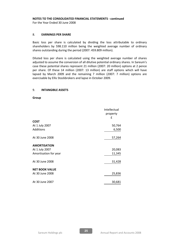For the Year Ended 30 June 2008

# 8. EARNINGS PER SHARE

Basic loss per share is calculated by dividing the loss attributable to ordinary shareholders by 598.110 million being the weighted average number of ordinary shares outstanding during the period (2007: 459.809 million).

Diluted loss per share is calculated using the weighted average number of shares adjusted to assume the conversion of all dilutive potential ordinary shares. In Sareum's case these potential shares represent 21 million (2007: 20 million) options at 2 pence per share. Of these 14 million (2007: 13 million) are staff options which will have lapsed by March 2009 and the remaining 7 million (2007: 7 million) options are exercisable by Ellis Stockbrokers and lapse in October 2009.

# 9. INTANGIBLE ASSETS

Group

|                       | Intellectual<br>property<br>£ |
|-----------------------|-------------------------------|
| <b>COST</b>           |                               |
| At 1 July 2007        | 50,764                        |
| Additions             | 6,500                         |
| At 30 June 2008       | 57,264                        |
| <b>AMORTISATION</b>   |                               |
| At 1 July 2007        | 20,083                        |
| Amortisation for year | 11,345                        |
| At 30 June 2008       | 31,428                        |
| <b>NET BOOK VALUE</b> |                               |
| At 30 June 2008       | 25,836                        |
| At 30 June 2007       | 30,681                        |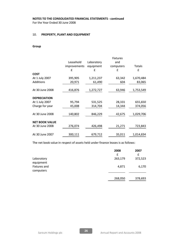For the Year Ended 30 June 2008

# 10. PROPERTY, PLANT AND EQUIPMENT

# Group

|                       |              |            | <b>Fixtures</b> |           |
|-----------------------|--------------|------------|-----------------|-----------|
|                       | Leasehold    | Laboratory | and             |           |
|                       | improvements | equipment  | computers       | Totals    |
|                       | f            | f          | f               | f         |
| <b>COST</b>           |              |            |                 |           |
| At 1 July 2007        | 395,905      | 1,211,237  | 63,342          | 1,670,484 |
| <b>Additions</b>      | 20,971       | 61,490     | 604             | 83,065    |
|                       |              |            |                 |           |
| At 30 June 2008       | 416,876      | 1,272,727  | 63,946          | 1,753,549 |
|                       |              |            |                 |           |
| <b>DEPRECIATION</b>   |              |            |                 |           |
| At 1 July 2007        | 95,794       | 531,525    | 28,331          | 655,650   |
| Charge for year       | 45,008       | 314,704    | 14,344          | 374,056   |
|                       |              |            |                 |           |
| At 30 June 2008       | 140,802      | 846,229    | 42,675          | 1,029,706 |
|                       |              |            |                 |           |
| <b>NET BOOK VALUE</b> |              |            |                 |           |
| At 30 June 2008       | 276,074      | 426,498    | 21,271          | 723,843   |
|                       |              |            |                 |           |
| At 30 June 2007       | 300,111      | 679,712    | 35,011          | 1,014,834 |
|                       |              |            |                 |           |

The net book value in respect of assets held under finance leases is as follows:

|              | 2008    | 2007    |
|--------------|---------|---------|
|              | £       | £       |
| Laboratory   | 263,179 | 372,523 |
| equipment    |         |         |
| Fixtures and | 4,871   | 6,170   |
| computers    |         |         |
|              |         |         |
|              | 268,050 | 378,693 |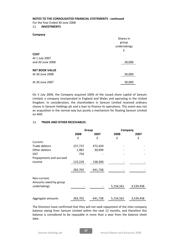For the Year Ended 30 June 2008

#### 11. INVESTMENTS

| Company               |              |
|-----------------------|--------------|
|                       | Shares in    |
|                       | group        |
|                       | undertakings |
|                       | £            |
| <b>COST</b>           |              |
| At 1 July 2007        |              |
| and 30 June 2008      | 30,000       |
|                       |              |
| <b>NET BOOK VALUE</b> |              |
| At 30 June 2008       | 30,000       |
|                       |              |
| At 30 June 2007       | 30,000       |

On 5 July 2004, the Company acquired 100% of the issued share capital of Sareum Limited; a company incorporated in England and Wales and operating in the United Kingdom. In consideration, the shareholders in Sareum Limited received ordinary shares in Sareum Holdings plc and a loan to finance its operations. This event was not an acquisition in the normal way but purely a mechanism for floating Sareum Limited on AIM.

# 12. TRADE AND OTHER RECEIVABLES

|                                       | Group   |         | Company   |           |
|---------------------------------------|---------|---------|-----------|-----------|
|                                       | 2008    | 2007    | 2008      | 2007      |
|                                       | £       | f       | £         | £         |
| Current:                              |         |         |           |           |
| Trade debtors                         | 157,737 | 472,439 |           |           |
| Other debtors                         | 1,982   | 30,999  |           |           |
| <b>VAT</b>                            | 754     |         |           |           |
| Prepayments and accrued               |         |         |           |           |
| income                                | 123,229 | 138,300 |           |           |
|                                       | 283,702 | 641,738 |           |           |
| Non-current:<br>Amounts owed by group |         |         |           |           |
| undertakings                          |         |         | 5,156,561 | 3,539,458 |
|                                       |         |         |           |           |
| Aggregate amounts                     | 283,702 | 641,738 | 5,156,561 | 3,539,458 |

The Directors have confirmed that they will not seek repayment of the inter-company balance owing from Sareum Limited within the next 12 months, and therefore this balance is considered to be repayable in more than a year from the balance sheet date.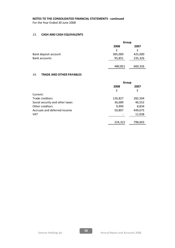For the Year Ended 30 June 2008

# 13. CASH AND CASH EQUIVALENTS

|                      | Group   |         |  |
|----------------------|---------|---------|--|
|                      | 2008    | 2007    |  |
|                      | f       |         |  |
| Bank deposit account | 385,000 | 425,000 |  |
| <b>Bank accounts</b> | 95,851  | 235,326 |  |
|                      |         |         |  |
|                      | 480,851 | 660,326 |  |

# 14. TRADE AND OTHER PAYABLES

|                                 | Group   |         |
|---------------------------------|---------|---------|
|                                 | 2008    | 2007    |
|                                 | £       | £       |
| Current:                        |         |         |
| Trade creditors                 | 126,827 | 282,504 |
| Social security and other taxes | 36,689  | 46,552  |
| Other creditors                 | 9,999   | 8,834   |
| Accruals and deferred income    | 50,807  | 449,675 |
| <b>VAT</b>                      |         | 11,038  |
|                                 |         |         |
|                                 | 224,322 | 798,603 |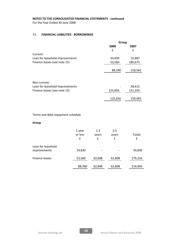For the Year Ended 30 June 2008

# 15. FINANCIAL LIABILITIES - BORROWINGS

|                                 | Group   |         |
|---------------------------------|---------|---------|
|                                 | 2008    | 2007    |
|                                 | £       | £       |
| Current:                        |         |         |
| Loan for leasehold improvements | 34,830  | 32,887  |
| Finance leases (see note 15)    | 53,560  | 185,675 |
|                                 | 88,390  | 218,562 |
| Non-current:                    |         |         |
| Loan for leasehold improvements |         | 28,415  |
| Finance leases (see note 15)    | 125,656 | 131,550 |
|                                 | 125,656 | 159,965 |

# Terms and debt repayment schedule

## Group

|                                    | 1 year<br>or less<br>£ | $1 - 2$<br>years<br>£ | $2 - 5$<br>years<br>£ | Totals<br>£ |
|------------------------------------|------------------------|-----------------------|-----------------------|-------------|
| Loan for leasehold<br>improvements | 34,830                 |                       |                       | 34,830      |
| Finance leases                     | 53,560                 | 62,848                | 62,808                | 179,216     |
|                                    | 88,390                 | 62,848                | 62,808                | 214,046     |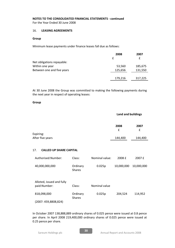For the Year Ended 30 June 2008

# 16. LEASING AGREEMENTS

# Group

Minimum lease payments under finance leases fall due as follows:

|                            | 2008    | 2007    |
|----------------------------|---------|---------|
|                            | f       | £       |
| Net obligations repayable: |         |         |
| Within one year            | 53,560  | 185,675 |
| Between one and five years | 125,656 | 131,550 |
|                            |         |         |
|                            | 179,216 | 317,225 |
|                            |         |         |

At 30 June 2008 the Group was committed to making the following payments during the next year in respect of operating leases:

# Group

# Land and buildings

|                  | 2008    | 2007    |
|------------------|---------|---------|
|                  |         |         |
| Expiring:        |         |         |
| After five years | 144,400 | 144,400 |

# 17. CALLED UP SHARE CAPITAL

| Authorised: Number:                       | Class:                    | Nominal value: | 2008 £     | 2007 £     |
|-------------------------------------------|---------------------------|----------------|------------|------------|
| 40,000,000,000                            | Ordinary<br><b>Shares</b> | 0.025p         | 10,000,000 | 10,000,000 |
| Alloted, issued and fully<br>paid:Number: | Class:                    | Nominal value  |            |            |
| 818,098,000                               | Ordinary<br><b>Shares</b> | 0.025p         | 204,524    | 114,952    |
| (2007: 459,8808,824)                      |                           |                |            |            |

In October 2007 138,888,889 ordinary shares of 0.025 pence were issued at 0.8 pence per share. In April 2008 219,400,000 ordinary shares of 0.025 pence were issued at 0.25 pence per share.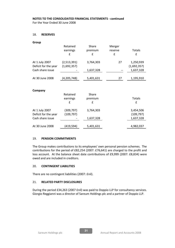For the Year Ended 30 June 2008

## 18. RESERVES

| Group                                  |                            |           |         |                          |
|----------------------------------------|----------------------------|-----------|---------|--------------------------|
|                                        | Retained                   | Share     | Merger  |                          |
|                                        | earnings                   | premium   | reserve | Totals                   |
|                                        | £                          | £         | £       | £                        |
| At 1 July 2007<br>Deficit for the year | (2,513,391)<br>(1,692,357) | 3,764,303 | 27      | 1,250,939<br>(1,692,357) |
| Cash share issue                       |                            | 1,637,328 |         | 1,637,328                |
| At 30 June 2008                        | (4,205,748)                | 5,401,631 | 27      | 1,195,910                |
|                                        |                            |           |         |                          |
| Company                                |                            |           |         |                          |
|                                        | Retained                   | Share     |         |                          |
|                                        | earnings                   | premium   |         | <b>Totals</b>            |
|                                        | f                          | f         |         | £                        |
| At 1 July 2007                         | (309, 797)                 | 3,764,303 |         | 3,454,506                |
| Deficit for the year                   | (109, 797)                 |           |         | (109, 797)               |
| Cash share issue                       |                            | 1,637,328 |         | 1,637,328                |
|                                        |                            |           |         |                          |
| At 30 June 2008                        | (419,594)                  | 5,401,631 |         | 4,982,037                |

# 19. PENSION COMMITMENTS

The Group makes contributions to its employees' own personal pension schemes. The contributions for the period of £82,254 (2007: £76,641) are charged to the profit and loss account. At the balance sheet date contributions of £9,999 (2007: £8,834) were owed and are included in creditors.

# 20. CONTINGENT LIABILITIES

There are no contingent liabilities (2007: £nil).

# 21. RELATED PARTY DISCLOSURES

During the period £34,263 (2007 £nil) was paid to Doppio LLP for consultancy services. Giorgio Reggianni was a director of Sareum Holdings plc and a partner of Doppio LLP.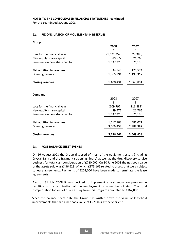For the Year Ended 30 June 2008

# 22. RECONCILIATION OF MOVEMENTS IN RESERVES

Group

|                                 | 2008        | 2007       |
|---------------------------------|-------------|------------|
|                                 | f           | f          |
| Loss for the financial year     | (1,692,357) | (527, 386) |
| New equity share capital        | 89,572      | 21,765     |
| Premium on new share capital    | 1,637,328   | 676,195    |
| Net addition to reserves        | 34,543      | 170,574    |
|                                 |             |            |
| Opening reserves                | 1,365,891   | 1,195,317  |
| <b>Closing reserves</b>         | 1,400,434   | 1,365,891  |
|                                 |             |            |
| Company                         | 2008        | 2007       |
|                                 | f           | f          |
| Loss for the financial year     | (109, 797)  | (116, 889) |
| New equity share capital        | 89,572      | 21,765     |
| Premium on new share capital    | 1,637,328   | 676,195    |
|                                 |             |            |
| <b>Net addition to reserves</b> | 1,617,103   | 581,071    |
| Opening reserves                | 3,569,458   | 2,988,387  |
| <b>Closing reserves</b>         | 5,186,561   | 3,569,458  |

# 23. POST BALANCE SHEET EVENTS

On 26 August 2008 the Group disposed of most of the equipment assets (including Crystal Bank and the fragment screening library) as well as the drug discovery service business for total cash consideration of £720,000. On 30 June 2008 the net book value of the assets sold was £436,623, of which £175,166 related to assets that were subject to lease agreements. Payments of £203,000 have been made to terminate the lease agreements.

Also on 31 July 2008 it was decided to implement a cost reduction programme resulting in the termination of the employment of a number of staff. The total compensation for loss of office arising from this program amounted to £167,860.

Since the balance sheet date the Group has written down the value of leasehold improvements that had a net book value of £276,074 at the year-end.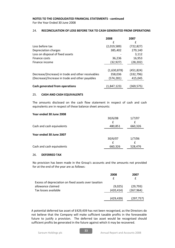For the Year Ended 30 June 2008

# 24. RECONCILIATION OF LOSS BEFORE TAX TO CASH GENERATED FROM OPERATIONS

|                                                    | 2008        | 2007       |
|----------------------------------------------------|-------------|------------|
|                                                    | £           | f          |
| Loss before tax                                    | (2,019,589) | (722, 827) |
| Depreciation charges                               | 385,402     | 279,140    |
| Loss on disposal of fixed assets                   |             | 3,112      |
| Finance costs                                      | 36,236      | 16,953     |
| Finance income                                     | (32, 927)   | (28, 202)  |
|                                                    |             |            |
|                                                    | (1,630,878) | (451, 824) |
| Decrease/(Increase) in trade and other receivables | 358,036     | (332, 796) |
| (Decrease)/Increase in trade and other payables    | (574,281)   | 415,045    |
|                                                    |             |            |
| Cash generated from operations                     | (1.847.123) | (369,575)  |

## 25. CASH AND CASH EQUIVALENTS

The amounts disclosed on the cash flow statement in respect of cash and cash equivalents are in respect of these balance sheet amounts:

## Year ended 30 June 2008

|                           | 30/6/08 | 1/7/07  |
|---------------------------|---------|---------|
|                           |         |         |
| Cash and cash equivalents | 480,851 | 660,326 |
|                           |         |         |
| Year ended 30 June 2007   |         |         |
|                           | 30/6/07 | 1/7/06  |
|                           |         |         |
| Cash and cash equivalents | 660,326 | 528,476 |

# 26. DEFERRED TAX

No provision has been made in the Group's accounts and the amounts not provided for at the end of the year are as follows:

|                                                      | 2008       | 2007       |
|------------------------------------------------------|------------|------------|
|                                                      |            |            |
| Excess of depreciation on fixed assets over taxation |            |            |
| allowance claimed                                    | (9,025)    | (29, 793)  |
| Tax losses available                                 | (420, 414) | (267, 964) |
|                                                      | (429, 439) | (297,757)  |

A potential deferred tax asset of £429,439 has not been recognised, as the Directors do not believe that the Company will make sufficient taxable profits in the foreseeable future to justify a provision. The deferred tax asset would be recognised should sufficient profits be generated in the future against which it may be recovered.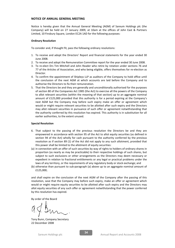#### NOTICE OF ANNUAL GENERAL MEETING

Notice is hereby given that the Annual General Meeting (AGM) of Sareum Holdings plc (the Company) will be held on 27 January 2009, at 10am at the offices of John East & Partners Limited, 10 Finsbury Square, London EC2A 1AD for the following purposes:

#### Ordinary Resolution

To consider and, if thought fit, pass the following ordinary resolutions:

- 1. To receive and adopt the Directors' Report and financial statements for the year ended 30 June 2008.
- 2. To receive and adopt the Remuneration Committee report for the year ended 30 June 2008.
- 3. To re-elect Drs Tim Mitchell and John Reader who retire by rotation under sections 76 and 77 of the Articles of Association, and who being eligible, offers themselves for re-election as Director.
- 4. To confirm the appointment of Shipleys LLP as auditors of the Company to hold office until the conclusion of the next AGM at which accounts are laid before the Company and to authorise the Directors to fix their remuneration.
- 5. That the Directors be and they are generally and unconditionally authorised for the purposes of section 80 of the Companies Act 1985 (the Act) to exercise all the powers of the Company to allot relevant securities (within the meaning of that section) up to an aggregate nominal amount of £125,000 provided that this authority is for a period expiring at the Company's next AGM but the Company may before such expiry make an offer or agreement which would or might require relevant securities to be allotted after such expiry and the Directors may allot relevant securities in pursuance of such offer or agreement notwithstanding that the authority conferred by this resolution has expired. This authority is in substitution for all earlier authorities, to the extent unused.

#### Special Resolution

- 6. That subject to the passing of the previous resolution the Directors be and they are empowered in accordance with section 95 of the Act to allot equity securities (as defined in section 94 of the Act) wholly for cash pursuant to the authority conferred by the previous resolution as if section 89 (1) of the Act did not apply to any such allotment, provided that this power shall be limited to the allotment of equity securities:
- (a) in connection with an offer of such securities by way of rights to holders of ordinary shares in proportion (as nearly as may be practicable) to their respective holdings of such shares, but subject to such exclusions or other arrangements as the Directors may deem necessary or expedient in relation to fractional entitlements or any legal or practical problems under the laws of any territory, or the requirements of any regulatory body or stock exchange; and
- (b) otherwise than pursuant to sub-paragraph (a) above up to an aggregate nominal amount of £125,000;

and shall expire on the conclusion of the next AGM of the Company after the passing of this resolution, save that the Company may before such expiry, make an offer or agreement which would or might require equity securities to be allotted after such expiry and the Directors may allot equity securities of any such offer or agreement notwithstanding that the power conferred by this resolution has expired.

By order of the Board

Tony Bunn, Company Secretary 22 December 2008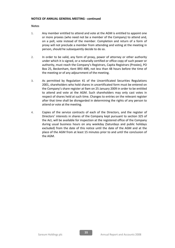## NOTICE OF ANNUAL GENERAL MEETING - continued

#### **Notes**

- 1. Any member entitled to attend and vote at the AGM is entitled to appoint one or more proxies (who need not be a member of the Company) to attend and, on a poll, vote instead of the member. Completion and return of a form of proxy will not preclude a member from attending and voting at the meeting in person, should he subsequently decide to do so.
- 2. In order to be valid, any form of proxy, power of attorney or other authority under which it is signed, or a notarially certified or office copy of such power or authority, must reach the Company's Registrars, Capita Registrars (Proxies), PO Box 25, Beckenham, Kent BR3 4BR, not less than 48 hours before the time of the meeting or of any adjournment of the meeting.
- 3. As permitted by Regulation 41 of the Uncertificated Securities Regulations 2001, shareholders who hold shares in uncertificated form must be entered on the Company's share register at 9am on 25 January 2009 in order to be entitled to attend and vote at the AGM. Such shareholders may only cast votes in respect of shares held at such time. Changes to entries on the relevant register after that time shall be disregarded in determining the rights of any person to attend or vote at the meeting.
- 4. Copies of the service contracts of each of the Directors, and the register of Directors' interests in shares of the Company kept pursuant to section 325 of the Act, will be available for inspection at the registered office of the Company during usual business hours on any weekday (Saturdays and public holidays excluded) from the date of this notice until the date of the AGM and at the place of the AGM from at least 15 minutes prior to and until the conclusion of the AGM.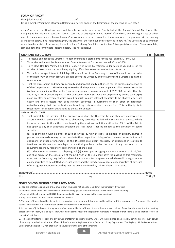## FORM OF PROXY

I/We (block capital) ................................................ of ..........................................................................

Being a member/members of Sareum Holdings plc hereby appoint the Chairman of the meeting or (see note 1)

........................................................................................................

as my/our proxy to attend and on a poll to vote for me/us and on my/our behalf at the Annual General Meeting of the Company to be held on 27 January 2009 at 10am and at any adjournment thereof. I/We direct, by inserting a cross or other mark in the appropriate box below, how my/our votes are to be cast on each of the resolutions to be proposed at the meeting as indicated below. If no indication is given, the proxy will exercise his/her discretion as to how he/she votes and as to whether or not he/she abstains from voting. Items 1 to 5 are Ordinary Resolutions while item 6 is a special resolution. Please complete, sign and date this form where indicated below (see notes below).

| <b>ORDINARY RESOLUTION</b> |                                                                                                               | For | <b>Against</b> |
|----------------------------|---------------------------------------------------------------------------------------------------------------|-----|----------------|
| 1.                         | To receive and adopt the Directors' Report and financial statements for the year ended 30 June 2008.          |     |                |
| 2.                         | To receive and adopt the Remuneration Committee report for the year ended 30 June 2008.                       |     |                |
| 3.                         | To re-elect Drs Tim Mitchell and John Reader who retire by rotation under sections 76 and 77 of the           |     |                |
|                            | Articles of Association, and who being eligible, offers themselves for re-election as Director.               |     |                |
| 4.                         | To confirm the appointment of Shipleys LLP as auditors of the Company to hold office until the conclusion     |     |                |
|                            | of the next AGM at which accounts are laid before the Company and to authorise the Directors to fix their     |     |                |
|                            | remuneration.                                                                                                 |     |                |
| 5.                         | That the Directors be and they are generally and unconditionally authorised for the purposes of section 80    |     |                |
|                            | of the Companies Act 1985 (the Act) to exercise all the powers of the Company to allot relevant securities    |     |                |
|                            | (within the meaning of that section) up to an aggregate nominal amount of £125,000 provided that this         |     |                |
|                            | authority is for a period expiring at the Company's next AGM but the Company may before such expiry           |     |                |
|                            | make an offer or agreement which would or might require relevant securities to be allotted after such         |     |                |
|                            | expiry and the Directors may allot relevant securities in pursuance of such offer or agreement                |     |                |
|                            | notwithstanding that the authority conferred by this resolution has expired. This authority is in             |     |                |
|                            | substitution for all earlier authorities, to the extent unused.                                               |     |                |
|                            | <b>SPECIAL RESOLUTION</b>                                                                                     |     |                |
| 6.                         | That subject to the passing of the previous resolution the Directors be and they are empowered in             |     |                |
|                            | accordance with section 95 of the Act to allot equity securities (as defined in section 94 of the Act) wholly |     |                |
|                            | for cash pursuant to the authority conferred by the previous resolution as if section 89 (1) of the Act did   |     |                |
|                            | not apply to any such allotment, provided that this power shall be limited to the allotment of equity         |     |                |
|                            | securities:                                                                                                   |     |                |
|                            | (a) in connection with an offer of such securities by way of rights to holders of ordinary shares in          |     |                |
|                            | proportion (as nearly as may be practicable) to their respective holdings of such shares, but subject to such |     |                |
|                            | exclusions or other arrangements as the Directors may deem necessary or expedient in relation to              |     |                |
|                            | fractional entitlements or any legal or practical problems under the laws of any territory, or the            |     |                |
|                            | requirements of any regulatory body or stock exchange; and                                                    |     |                |
|                            | (b) otherwise than pursuant to sub-paragraph (a) above up to an aggregate nominal amount of £125,000;         |     |                |
|                            | and shall expire on the conclusion of the next AGM of the Company after the passing of this resolution,       |     |                |
|                            | save that the Company may before such expiry, make an offer or agreement which would or might require         |     |                |
|                            | equity securities to be allotted after such expiry and the Directors may allot equity securities of any such  |     |                |
|                            | offer or agreement notwithstanding that the power conferred by this resolution has expired.                   |     |                |
|                            |                                                                                                               |     |                |

Signature(s).......................................................................................................................................................dated this.......................................................................................day.........................................................................2008/9

#### NOTES ON COMPLETION OF THE PROXY FORM:

1. You are entitled to appoint a proxy of your own who need not be a shareholder of the Company. If you wish

to appoint a proxy other than the chairman of the meeting, please delete the words "the chairman of the meeting

or" and initial the alteration and PRINT the name and address of the proxy, in the space provided.

2. Any alteration to the form of Proxy should be initialled.

3. The form of Proxy should be signed by the appointer or his attorney duly authorised in writing or, if the appointer is a Company, either under seal or under hand of a duly authorised officer or attorney of the Company.

4. In the case of joint holders the signature of any one holder is sufficient. If more than one joint holder of any share is present at the meeting personally or by Proxy, that one present whose name stands first on the register of members in respect of that share is alone entitled to vote in respect of that share.

5. To be valid this form of Proxy and any power of attorney or other authority under which it is signed or a notarially certified copy of such power of authority must be lodged at the offices of the Company's Registrars, Capita Registrars, Proxy Department, The Registry, 34 Beckenham Road, Beckenham, Kent BR3 4TU not later than 48 hours before the time of the meeting